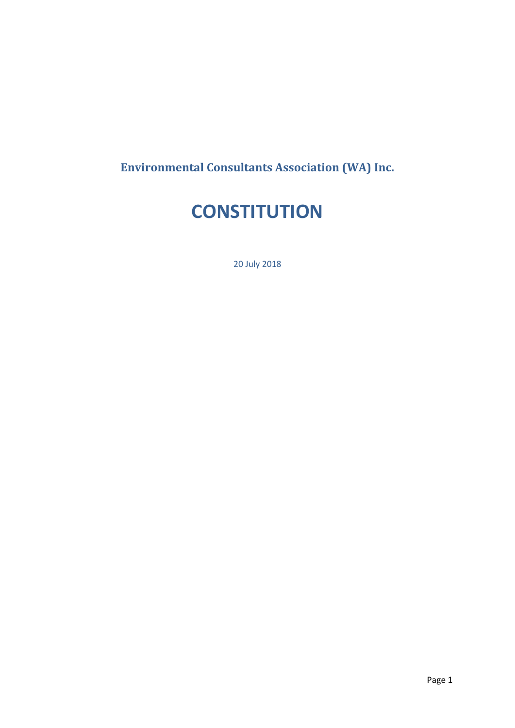**Environmental Consultants Association (WA) Inc.**

# **CONSTITUTION**

20 July 2018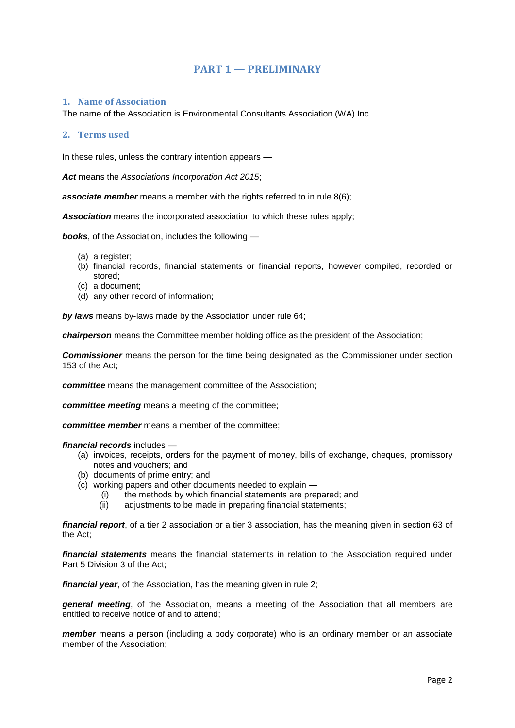# **PART 1 — PRELIMINARY**

## **1. Name of Association**

The name of the Association is Environmental Consultants Association (WA) Inc.

## **2. Terms used**

In these rules, unless the contrary intention appears —

*Act* means the *Associations Incorporation Act 2015*;

**associate member** means a member with the rights referred to in rule 8(6);

*Association* means the incorporated association to which these rules apply;

*books*, of the Association, includes the following —

- (a) a register;
- (b) financial records, financial statements or financial reports, however compiled, recorded or stored;
- (c) a document;
- (d) any other record of information;

*by laws* means by-laws made by the Association under rule 64;

*chairperson* means the Committee member holding office as the president of the Association;

*Commissioner* means the person for the time being designated as the Commissioner under section 153 of the Act;

*committee* means the management committee of the Association;

*committee meeting* means a meeting of the committee;

*committee member* means a member of the committee;

### *financial records* includes —

- (a) invoices, receipts, orders for the payment of money, bills of exchange, cheques, promissory notes and vouchers; and
- (b) documents of prime entry; and
- (c) working papers and other documents needed to explain
	- (i) the methods by which financial statements are prepared; and
	- (ii) adjustments to be made in preparing financial statements;

*financial report*, of a tier 2 association or a tier 3 association, has the meaning given in section 63 of the Act;

*financial statements* means the financial statements in relation to the Association required under Part 5 Division 3 of the Act;

*financial year*, of the Association, has the meaning given in rule 2;

*general meeting*, of the Association, means a meeting of the Association that all members are entitled to receive notice of and to attend;

*member* means a person (including a body corporate) who is an ordinary member or an associate member of the Association;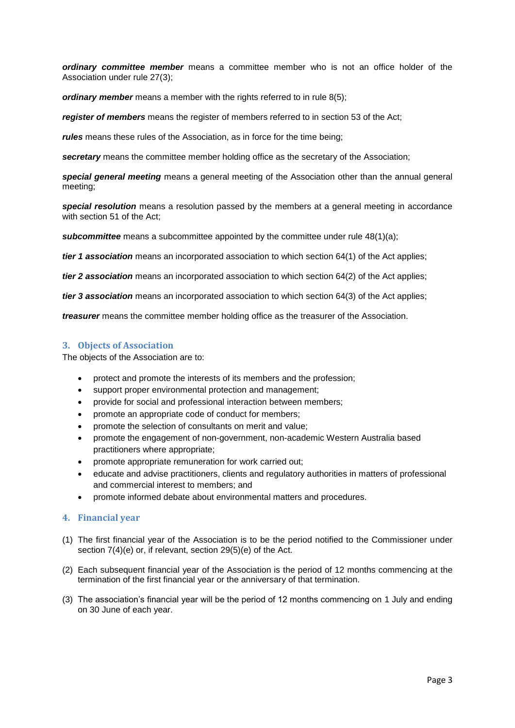*ordinary committee member* means a committee member who is not an office holder of the Association under rule 27(3);

*ordinary member* means a member with the rights referred to in rule 8(5);

*register of members* means the register of members referred to in section 53 of the Act;

*rules* means these rules of the Association, as in force for the time being;

*secretary* means the committee member holding office as the secretary of the Association;

*special general meeting* means a general meeting of the Association other than the annual general meeting;

*special resolution* means a resolution passed by the members at a general meeting in accordance with section 51 of the Act;

**subcommittee** means a subcommittee appointed by the committee under rule 48(1)(a);

*tier 1 association* means an incorporated association to which section 64(1) of the Act applies;

*tier 2 association* means an incorporated association to which section 64(2) of the Act applies;

*tier 3 association* means an incorporated association to which section 64(3) of the Act applies;

*treasurer* means the committee member holding office as the treasurer of the Association.

# **3. Objects of Association**

The objects of the Association are to:

- protect and promote the interests of its members and the profession;
- support proper environmental protection and management;
- provide for social and professional interaction between members;
- promote an appropriate code of conduct for members;
- promote the selection of consultants on merit and value;
- promote the engagement of non-government, non-academic Western Australia based practitioners where appropriate;
- promote appropriate remuneration for work carried out;
- educate and advise practitioners, clients and regulatory authorities in matters of professional and commercial interest to members; and
- promote informed debate about environmental matters and procedures.

# **4. Financial year**

- (1) The first financial year of the Association is to be the period notified to the Commissioner under section 7(4)(e) or, if relevant, section 29(5)(e) of the Act.
- (2) Each subsequent financial year of the Association is the period of 12 months commencing at the termination of the first financial year or the anniversary of that termination.
- (3) The association's financial year will be the period of 12 months commencing on 1 July and ending on 30 June of each year.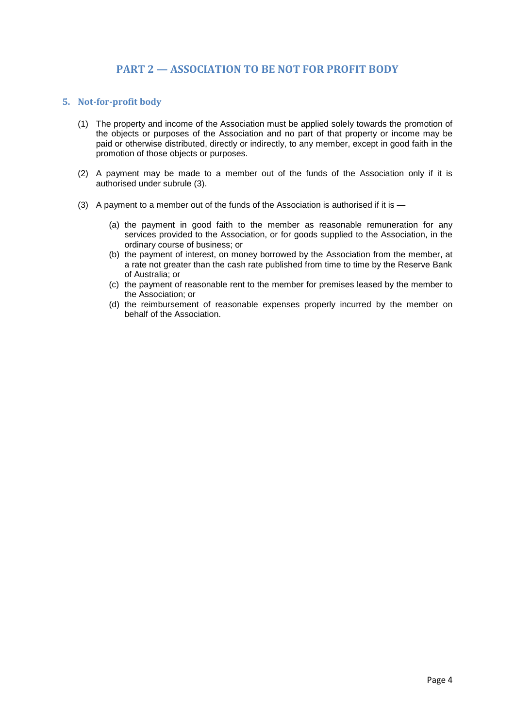# **PART 2 — ASSOCIATION TO BE NOT FOR PROFIT BODY**

## **5. Not-for-profit body**

- (1) The property and income of the Association must be applied solely towards the promotion of the objects or purposes of the Association and no part of that property or income may be paid or otherwise distributed, directly or indirectly, to any member, except in good faith in the promotion of those objects or purposes.
- (2) A payment may be made to a member out of the funds of the Association only if it is authorised under subrule (3).
- (3) A payment to a member out of the funds of the Association is authorised if it is
	- (a) the payment in good faith to the member as reasonable remuneration for any services provided to the Association, or for goods supplied to the Association, in the ordinary course of business; or
	- (b) the payment of interest, on money borrowed by the Association from the member, at a rate not greater than the cash rate published from time to time by the Reserve Bank of Australia; or
	- (c) the payment of reasonable rent to the member for premises leased by the member to the Association; or
	- (d) the reimbursement of reasonable expenses properly incurred by the member on behalf of the Association.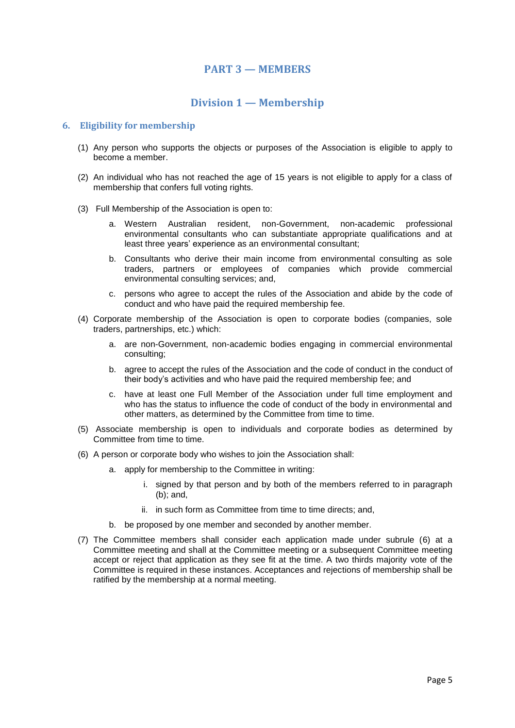# **PART 3 — MEMBERS**

# **Division 1 — Membership**

## **6. Eligibility for membership**

- (1) Any person who supports the objects or purposes of the Association is eligible to apply to become a member.
- (2) An individual who has not reached the age of 15 years is not eligible to apply for a class of membership that confers full voting rights.
- (3) Full Membership of the Association is open to:
	- a. Western Australian resident, non-Government, non-academic professional environmental consultants who can substantiate appropriate qualifications and at least three years' experience as an environmental consultant;
	- b. Consultants who derive their main income from environmental consulting as sole traders, partners or employees of companies which provide commercial environmental consulting services; and,
	- c. persons who agree to accept the rules of the Association and abide by the code of conduct and who have paid the required membership fee.
- (4) Corporate membership of the Association is open to corporate bodies (companies, sole traders, partnerships, etc.) which:
	- a. are non-Government, non-academic bodies engaging in commercial environmental consulting;
	- b. agree to accept the rules of the Association and the code of conduct in the conduct of their body's activities and who have paid the required membership fee; and
	- c. have at least one Full Member of the Association under full time employment and who has the status to influence the code of conduct of the body in environmental and other matters, as determined by the Committee from time to time.
- (5) Associate membership is open to individuals and corporate bodies as determined by Committee from time to time.
- (6) A person or corporate body who wishes to join the Association shall:
	- a. apply for membership to the Committee in writing:
		- i. signed by that person and by both of the members referred to in paragraph (b); and,
		- ii. in such form as Committee from time to time directs; and,
	- b. be proposed by one member and seconded by another member.
- (7) The Committee members shall consider each application made under subrule (6) at a Committee meeting and shall at the Committee meeting or a subsequent Committee meeting accept or reject that application as they see fit at the time. A two thirds majority vote of the Committee is required in these instances. Acceptances and rejections of membership shall be ratified by the membership at a normal meeting.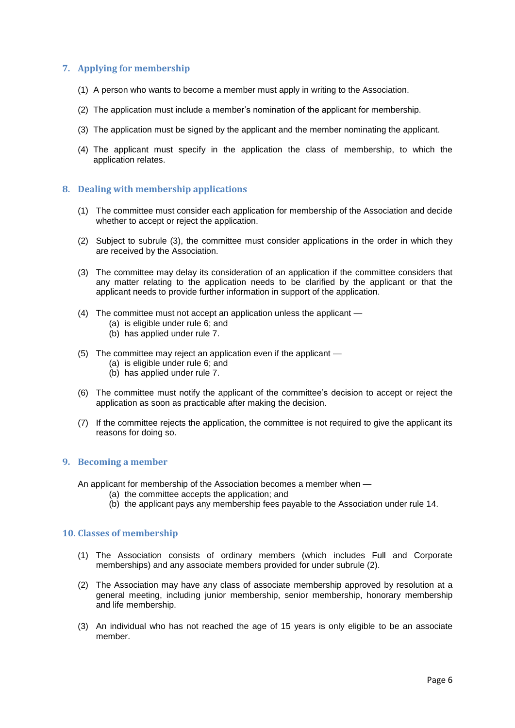# **7. Applying for membership**

- (1) A person who wants to become a member must apply in writing to the Association.
- (2) The application must include a member's nomination of the applicant for membership.
- (3) The application must be signed by the applicant and the member nominating the applicant.
- (4) The applicant must specify in the application the class of membership, to which the application relates.

## **8. Dealing with membership applications**

- (1) The committee must consider each application for membership of the Association and decide whether to accept or reject the application.
- (2) Subject to subrule (3), the committee must consider applications in the order in which they are received by the Association.
- (3) The committee may delay its consideration of an application if the committee considers that any matter relating to the application needs to be clarified by the applicant or that the applicant needs to provide further information in support of the application.
- (4) The committee must not accept an application unless the applicant
	- (a) is eligible under rule 6; and
	- (b) has applied under rule 7.
- (5) The committee may reject an application even if the applicant
	- (a) is eligible under rule 6; and
	- (b) has applied under rule 7.
- (6) The committee must notify the applicant of the committee's decision to accept or reject the application as soon as practicable after making the decision.
- (7) If the committee rejects the application, the committee is not required to give the applicant its reasons for doing so.

## **9. Becoming a member**

An applicant for membership of the Association becomes a member when —

- (a) the committee accepts the application; and
- (b) the applicant pays any membership fees payable to the Association under rule 14.

#### **10. Classes of membership**

- (1) The Association consists of ordinary members (which includes Full and Corporate memberships) and any associate members provided for under subrule (2).
- (2) The Association may have any class of associate membership approved by resolution at a general meeting, including junior membership, senior membership, honorary membership and life membership.
- (3) An individual who has not reached the age of 15 years is only eligible to be an associate member.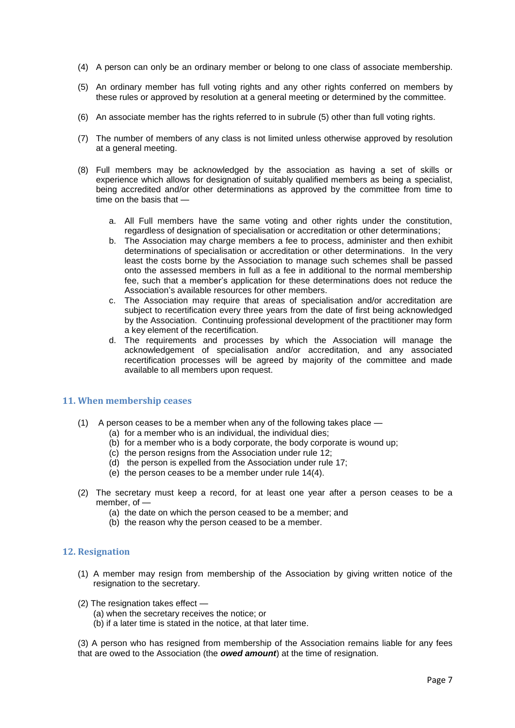- (4) A person can only be an ordinary member or belong to one class of associate membership.
- (5) An ordinary member has full voting rights and any other rights conferred on members by these rules or approved by resolution at a general meeting or determined by the committee.
- (6) An associate member has the rights referred to in subrule (5) other than full voting rights.
- (7) The number of members of any class is not limited unless otherwise approved by resolution at a general meeting.
- (8) Full members may be acknowledged by the association as having a set of skills or experience which allows for designation of suitably qualified members as being a specialist, being accredited and/or other determinations as approved by the committee from time to time on the basis that
	- a. All Full members have the same voting and other rights under the constitution, regardless of designation of specialisation or accreditation or other determinations;
	- b. The Association may charge members a fee to process, administer and then exhibit determinations of specialisation or accreditation or other determinations. In the very least the costs borne by the Association to manage such schemes shall be passed onto the assessed members in full as a fee in additional to the normal membership fee, such that a member's application for these determinations does not reduce the Association's available resources for other members.
	- c. The Association may require that areas of specialisation and/or accreditation are subject to recertification every three years from the date of first being acknowledged by the Association. Continuing professional development of the practitioner may form a key element of the recertification.
	- d. The requirements and processes by which the Association will manage the acknowledgement of specialisation and/or accreditation, and any associated recertification processes will be agreed by majority of the committee and made available to all members upon request.

# **11. When membership ceases**

- (1) A person ceases to be a member when any of the following takes place
	- (a) for a member who is an individual, the individual dies;
	- (b) for a member who is a body corporate, the body corporate is wound up;
	- (c) the person resigns from the Association under rule 12;
	- (d) the person is expelled from the Association under rule 17;
	- (e) the person ceases to be a member under rule 14(4).
- (2) The secretary must keep a record, for at least one year after a person ceases to be a member, of —
	- (a) the date on which the person ceased to be a member; and
	- (b) the reason why the person ceased to be a member.

#### **12. Resignation**

- (1) A member may resign from membership of the Association by giving written notice of the resignation to the secretary.
- (2) The resignation takes effect
	- (a) when the secretary receives the notice; or
	- (b) if a later time is stated in the notice, at that later time.

(3) A person who has resigned from membership of the Association remains liable for any fees that are owed to the Association (the *owed amount*) at the time of resignation.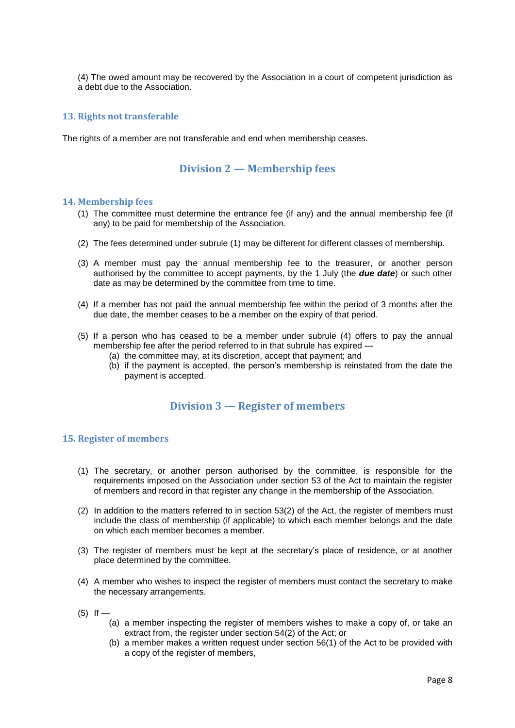(4) The owed amount may be recovered by the Association in a court of competent jurisdiction as a debt due to the Association.

## **13. Rights not transferable**

The rights of a member are not transferable and end when membership ceases.

# **Division 2 — M**e**mbership fees**

#### **14. Membership fees**

- (1) The committee must determine the entrance fee (if any) and the annual membership fee (if any) to be paid for membership of the Association.
- (2) The fees determined under subrule (1) may be different for different classes of membership.
- (3) A member must pay the annual membership fee to the treasurer, or another person authorised by the committee to accept payments, by the 1 July (the *due date*) or such other date as may be determined by the committee from time to time.
- (4) If a member has not paid the annual membership fee within the period of 3 months after the due date, the member ceases to be a member on the expiry of that period.
- (5) If a person who has ceased to be a member under subrule (4) offers to pay the annual membership fee after the period referred to in that subrule has expired —
	- (a) the committee may, at its discretion, accept that payment; and
	- (b) if the payment is accepted, the person's membership is reinstated from the date the payment is accepted.

# **Division 3 — Register of members**

## **15. Register of members**

- (1) The secretary, or another person authorised by the committee, is responsible for the requirements imposed on the Association under section 53 of the Act to maintain the register of members and record in that register any change in the membership of the Association.
- (2) In addition to the matters referred to in section 53(2) of the Act, the register of members must include the class of membership (if applicable) to which each member belongs and the date on which each member becomes a member.
- (3) The register of members must be kept at the secretary's place of residence, or at another place determined by the committee.
- (4) A member who wishes to inspect the register of members must contact the secretary to make the necessary arrangements.
- $(5)$  If
	- (a) a member inspecting the register of members wishes to make a copy of, or take an extract from, the register under section 54(2) of the Act; or
	- (b) a member makes a written request under section 56(1) of the Act to be provided with a copy of the register of members,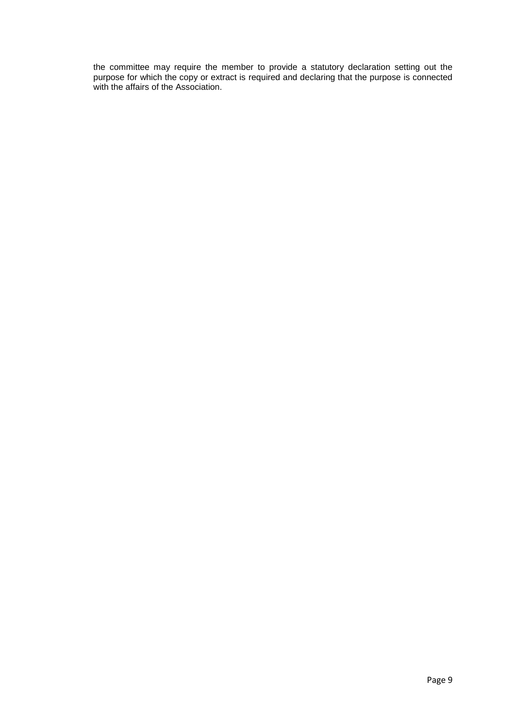the committee may require the member to provide a statutory declaration setting out the purpose for which the copy or extract is required and declaring that the purpose is connected with the affairs of the Association.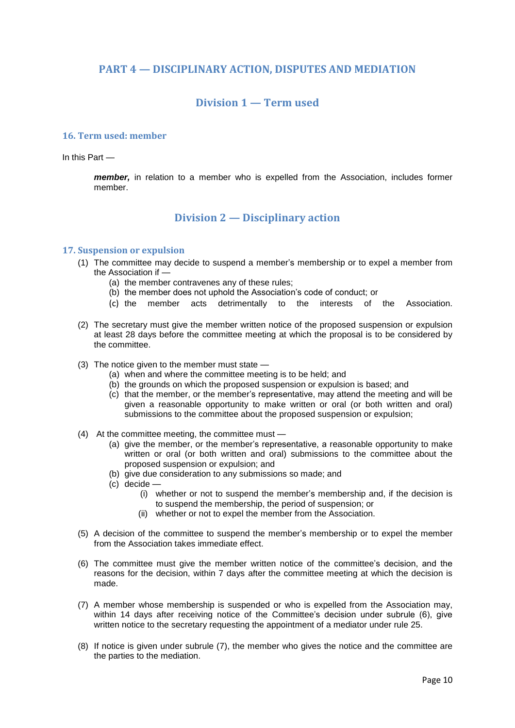# **PART 4 — DISCIPLINARY ACTION, DISPUTES AND MEDIATION**

# **Division 1 — Term used**

#### **16. Term used: member**

In this Part —

*member,* in relation to a member who is expelled from the Association, includes former member.

# **Division 2 — Disciplinary action**

## **17. Suspension or expulsion**

- (1) The committee may decide to suspend a member's membership or to expel a member from the Association if
	- (a) the member contravenes any of these rules;
	- (b) the member does not uphold the Association's code of conduct; or
	- (c) the member acts detrimentally to the interests of the Association.
- (2) The secretary must give the member written notice of the proposed suspension or expulsion at least 28 days before the committee meeting at which the proposal is to be considered by the committee.
- (3) The notice given to the member must state
	- (a) when and where the committee meeting is to be held; and
	- (b) the grounds on which the proposed suspension or expulsion is based; and
	- (c) that the member, or the member's representative, may attend the meeting and will be given a reasonable opportunity to make written or oral (or both written and oral) submissions to the committee about the proposed suspension or expulsion;
- (4) At the committee meeting, the committee must
	- (a) give the member, or the member's representative, a reasonable opportunity to make written or oral (or both written and oral) submissions to the committee about the proposed suspension or expulsion; and
	- (b) give due consideration to any submissions so made; and
	- (c) decide
		- (i) whether or not to suspend the member's membership and, if the decision is to suspend the membership, the period of suspension; or
		- (ii) whether or not to expel the member from the Association.
- (5) A decision of the committee to suspend the member's membership or to expel the member from the Association takes immediate effect.
- (6) The committee must give the member written notice of the committee's decision, and the reasons for the decision, within 7 days after the committee meeting at which the decision is made.
- (7) A member whose membership is suspended or who is expelled from the Association may, within 14 days after receiving notice of the Committee's decision under subrule (6), give written notice to the secretary requesting the appointment of a mediator under rule 25.
- (8) If notice is given under subrule (7), the member who gives the notice and the committee are the parties to the mediation.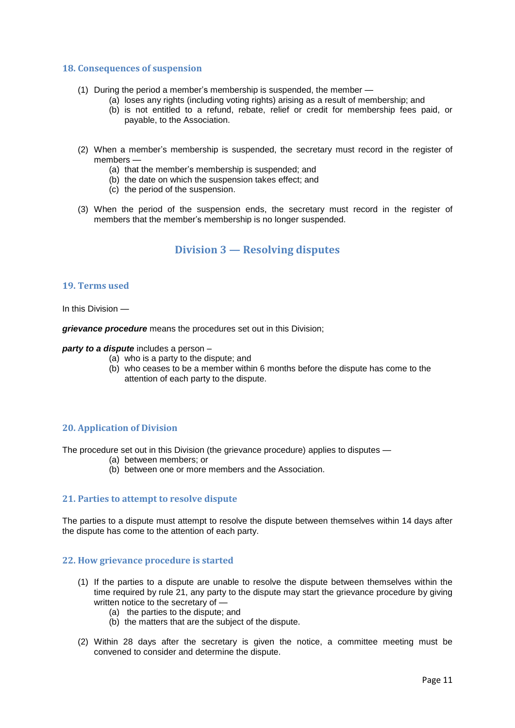#### **18. Consequences of suspension**

- (1) During the period a member's membership is suspended, the member
	- (a) loses any rights (including voting rights) arising as a result of membership; and
	- (b) is not entitled to a refund, rebate, relief or credit for membership fees paid, or payable, to the Association.
- (2) When a member's membership is suspended, the secretary must record in the register of members —
	- (a) that the member's membership is suspended; and
	- (b) the date on which the suspension takes effect; and
	- (c) the period of the suspension.
- (3) When the period of the suspension ends, the secretary must record in the register of members that the member's membership is no longer suspended.

# **Division 3 — Resolving disputes**

## **19. Terms used**

In this Division —

*grievance procedure* means the procedures set out in this Division;

*party to a dispute* includes a person –

- (a) who is a party to the dispute; and
- (b) who ceases to be a member within 6 months before the dispute has come to the attention of each party to the dispute.

# **20. Application of Division**

The procedure set out in this Division (the grievance procedure) applies to disputes —

- (a) between members; or
- (b) between one or more members and the Association.

#### **21. Parties to attempt to resolve dispute**

The parties to a dispute must attempt to resolve the dispute between themselves within 14 days after the dispute has come to the attention of each party.

#### **22. How grievance procedure is started**

- (1) If the parties to a dispute are unable to resolve the dispute between themselves within the time required by rule 21, any party to the dispute may start the grievance procedure by giving written notice to the secretary of —
	- (a) the parties to the dispute; and
	- (b) the matters that are the subject of the dispute.
- (2) Within 28 days after the secretary is given the notice, a committee meeting must be convened to consider and determine the dispute.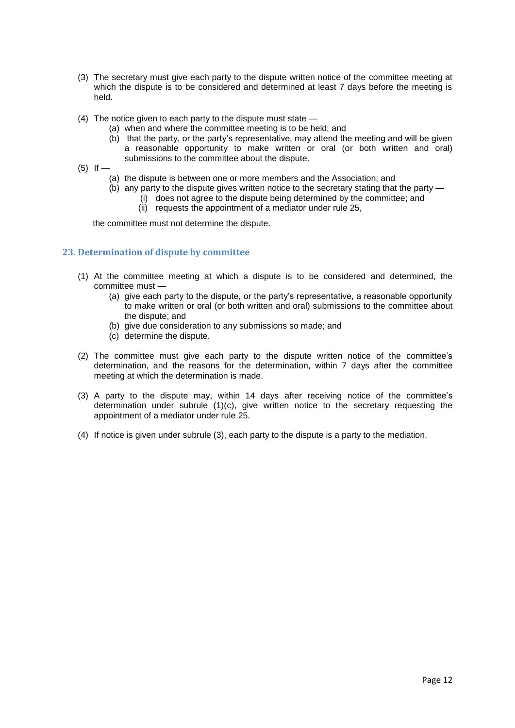- (3) The secretary must give each party to the dispute written notice of the committee meeting at which the dispute is to be considered and determined at least 7 days before the meeting is held.
- (4) The notice given to each party to the dispute must state
	- (a) when and where the committee meeting is to be held; and
	- (b) that the party, or the party's representative, may attend the meeting and will be given a reasonable opportunity to make written or oral (or both written and oral) submissions to the committee about the dispute.
- $(5)$  If
	- (a) the dispute is between one or more members and the Association; and
	- (b) any party to the dispute gives written notice to the secretary stating that the party
		- (i) does not agree to the dispute being determined by the committee; and
		- (ii) requests the appointment of a mediator under rule 25,

the committee must not determine the dispute.

## **23. Determination of dispute by committee**

- (1) At the committee meeting at which a dispute is to be considered and determined, the committee must —
	- (a) give each party to the dispute, or the party's representative, a reasonable opportunity to make written or oral (or both written and oral) submissions to the committee about the dispute; and
	- (b) give due consideration to any submissions so made; and
	- (c) determine the dispute.
- (2) The committee must give each party to the dispute written notice of the committee's determination, and the reasons for the determination, within 7 days after the committee meeting at which the determination is made.
- (3) A party to the dispute may, within 14 days after receiving notice of the committee's determination under subrule (1)(c), give written notice to the secretary requesting the appointment of a mediator under rule 25.
- (4) If notice is given under subrule (3), each party to the dispute is a party to the mediation.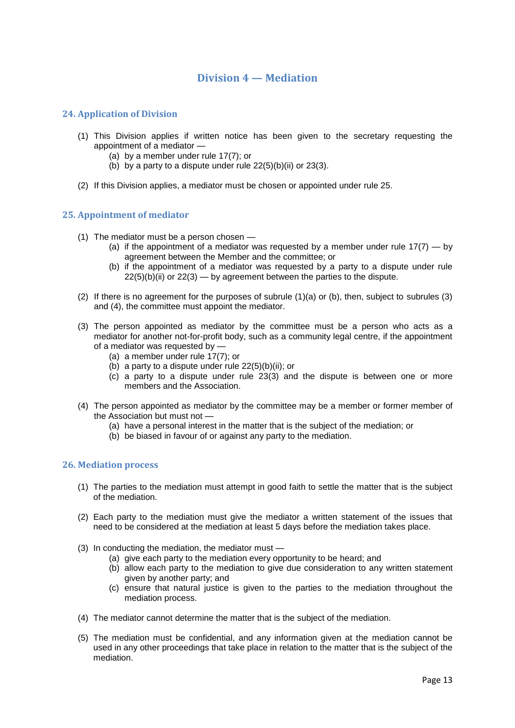# **Division 4 — Mediation**

# **24. Application of Division**

- (1) This Division applies if written notice has been given to the secretary requesting the appointment of a mediator —
	- (a) by a member under rule 17(7); or
	- (b) by a party to a dispute under rule  $22(5)(b)(ii)$  or  $23(3)$ .
- (2) If this Division applies, a mediator must be chosen or appointed under rule 25.

## **25. Appointment of mediator**

- (1) The mediator must be a person chosen
	- (a) if the appointment of a mediator was requested by a member under rule  $17(7) -$  by agreement between the Member and the committee; or
	- (b) if the appointment of a mediator was requested by a party to a dispute under rule 22(5)(b)(ii) or 22(3) — by agreement between the parties to the dispute.
- (2) If there is no agreement for the purposes of subrule (1)(a) or (b), then, subject to subrules (3) and (4), the committee must appoint the mediator.
- (3) The person appointed as mediator by the committee must be a person who acts as a mediator for another not-for-profit body, such as a community legal centre, if the appointment of a mediator was requested by —
	- (a) a member under rule 17(7); or
	- (b) a party to a dispute under rule  $22(5)(b)(ii)$ ; or
	- (c) a party to a dispute under rule 23(3) and the dispute is between one or more members and the Association.
- (4) The person appointed as mediator by the committee may be a member or former member of the Association but must not
	- (a) have a personal interest in the matter that is the subject of the mediation; or
	- (b) be biased in favour of or against any party to the mediation.

#### **26. Mediation process**

- (1) The parties to the mediation must attempt in good faith to settle the matter that is the subject of the mediation.
- (2) Each party to the mediation must give the mediator a written statement of the issues that need to be considered at the mediation at least 5 days before the mediation takes place.
- (3) In conducting the mediation, the mediator must
	- (a) give each party to the mediation every opportunity to be heard; and
	- (b) allow each party to the mediation to give due consideration to any written statement given by another party; and
	- (c) ensure that natural justice is given to the parties to the mediation throughout the mediation process.
- (4) The mediator cannot determine the matter that is the subject of the mediation.
- (5) The mediation must be confidential, and any information given at the mediation cannot be used in any other proceedings that take place in relation to the matter that is the subject of the mediation.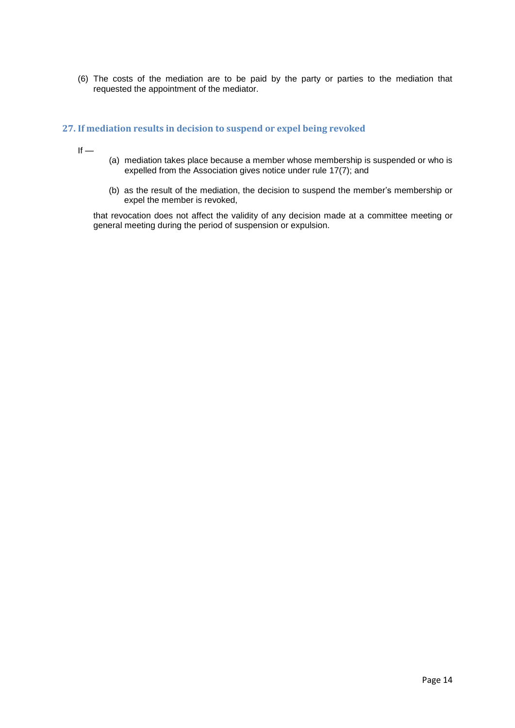(6) The costs of the mediation are to be paid by the party or parties to the mediation that requested the appointment of the mediator.

# **27. If mediation results in decision to suspend or expel being revoked**

 $If -$ 

- (a) mediation takes place because a member whose membership is suspended or who is expelled from the Association gives notice under rule 17(7); and
- (b) as the result of the mediation, the decision to suspend the member's membership or expel the member is revoked,

that revocation does not affect the validity of any decision made at a committee meeting or general meeting during the period of suspension or expulsion.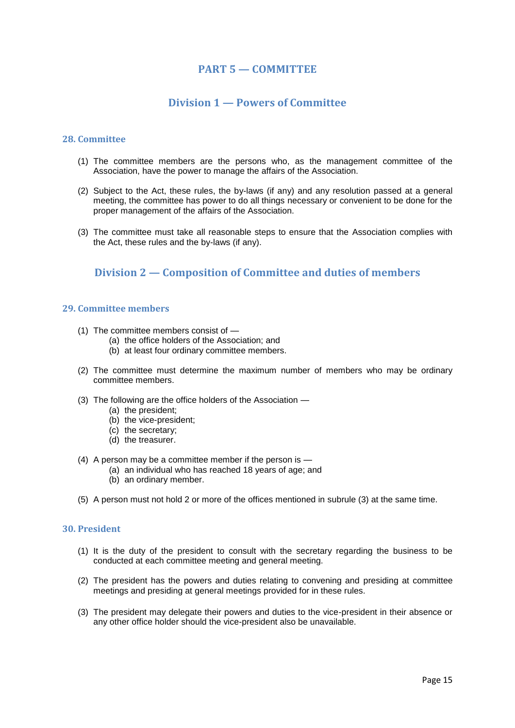# **PART 5 — COMMITTEE**

# **Division 1 — Powers of Committee**

#### **28. Committee**

- (1) The committee members are the persons who, as the management committee of the Association, have the power to manage the affairs of the Association.
- (2) Subject to the Act, these rules, the by-laws (if any) and any resolution passed at a general meeting, the committee has power to do all things necessary or convenient to be done for the proper management of the affairs of the Association.
- (3) The committee must take all reasonable steps to ensure that the Association complies with the Act, these rules and the by-laws (if any).

# **Division 2 — Composition of Committee and duties of members**

#### **29. Committee members**

- (1) The committee members consist of
	- (a) the office holders of the Association; and
	- (b) at least four ordinary committee members.
- (2) The committee must determine the maximum number of members who may be ordinary committee members.
- (3) The following are the office holders of the Association
	- (a) the president;
	- (b) the vice-president;
	- (c) the secretary;
	- (d) the treasurer.
- (4) A person may be a committee member if the person is
	- (a) an individual who has reached 18 years of age; and
	- (b) an ordinary member.
- (5) A person must not hold 2 or more of the offices mentioned in subrule (3) at the same time.

# **30. President**

- (1) It is the duty of the president to consult with the secretary regarding the business to be conducted at each committee meeting and general meeting.
- (2) The president has the powers and duties relating to convening and presiding at committee meetings and presiding at general meetings provided for in these rules.
- (3) The president may delegate their powers and duties to the vice-president in their absence or any other office holder should the vice-president also be unavailable.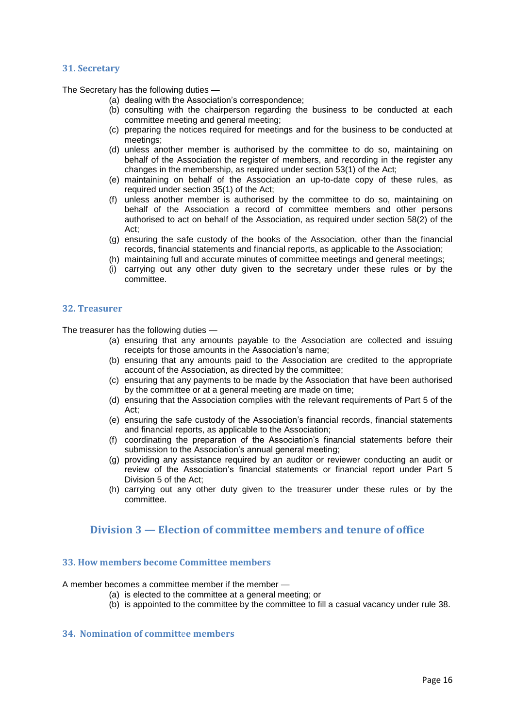### **31. Secretary**

The Secretary has the following duties —

- (a) dealing with the Association's correspondence;
- (b) consulting with the chairperson regarding the business to be conducted at each committee meeting and general meeting;
- (c) preparing the notices required for meetings and for the business to be conducted at meetings;
- (d) unless another member is authorised by the committee to do so, maintaining on behalf of the Association the register of members, and recording in the register any changes in the membership, as required under section 53(1) of the Act;
- (e) maintaining on behalf of the Association an up-to-date copy of these rules, as required under section 35(1) of the Act;
- (f) unless another member is authorised by the committee to do so, maintaining on behalf of the Association a record of committee members and other persons authorised to act on behalf of the Association, as required under section 58(2) of the Act;
- (g) ensuring the safe custody of the books of the Association, other than the financial records, financial statements and financial reports, as applicable to the Association;
- (h) maintaining full and accurate minutes of committee meetings and general meetings;
- (i) carrying out any other duty given to the secretary under these rules or by the committee.

## **32. Treasurer**

The treasurer has the following duties —

- (a) ensuring that any amounts payable to the Association are collected and issuing receipts for those amounts in the Association's name;
- (b) ensuring that any amounts paid to the Association are credited to the appropriate account of the Association, as directed by the committee;
- (c) ensuring that any payments to be made by the Association that have been authorised by the committee or at a general meeting are made on time;
- (d) ensuring that the Association complies with the relevant requirements of Part 5 of the Act;
- (e) ensuring the safe custody of the Association's financial records, financial statements and financial reports, as applicable to the Association;
- (f) coordinating the preparation of the Association's financial statements before their submission to the Association's annual general meeting;
- (g) providing any assistance required by an auditor or reviewer conducting an audit or review of the Association's financial statements or financial report under Part 5 Division 5 of the Act;
- (h) carrying out any other duty given to the treasurer under these rules or by the committee.

# **Division 3 — Election of committee members and tenure of office**

## **33. How members become Committee members**

A member becomes a committee member if the member —

- (a) is elected to the committee at a general meeting; or
- (b) is appointed to the committee by the committee to fill a casual vacancy under rule 38.

# **34. Nomination of committ**e**e members**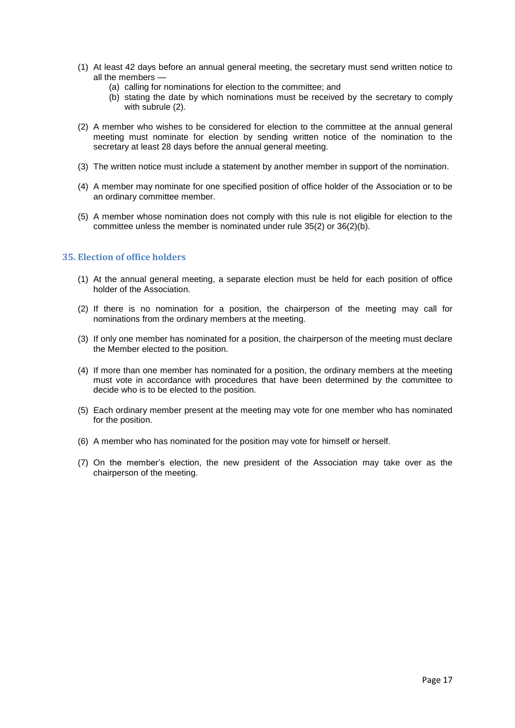- (1) At least 42 days before an annual general meeting, the secretary must send written notice to all the members —
	- (a) calling for nominations for election to the committee; and
	- (b) stating the date by which nominations must be received by the secretary to comply with subrule (2).
- (2) A member who wishes to be considered for election to the committee at the annual general meeting must nominate for election by sending written notice of the nomination to the secretary at least 28 days before the annual general meeting.
- (3) The written notice must include a statement by another member in support of the nomination.
- (4) A member may nominate for one specified position of office holder of the Association or to be an ordinary committee member.
- (5) A member whose nomination does not comply with this rule is not eligible for election to the committee unless the member is nominated under rule 35(2) or 36(2)(b).

## **35. Election of office holders**

- (1) At the annual general meeting, a separate election must be held for each position of office holder of the Association.
- (2) If there is no nomination for a position, the chairperson of the meeting may call for nominations from the ordinary members at the meeting.
- (3) If only one member has nominated for a position, the chairperson of the meeting must declare the Member elected to the position.
- (4) If more than one member has nominated for a position, the ordinary members at the meeting must vote in accordance with procedures that have been determined by the committee to decide who is to be elected to the position.
- (5) Each ordinary member present at the meeting may vote for one member who has nominated for the position.
- (6) A member who has nominated for the position may vote for himself or herself.
- (7) On the member's election, the new president of the Association may take over as the chairperson of the meeting.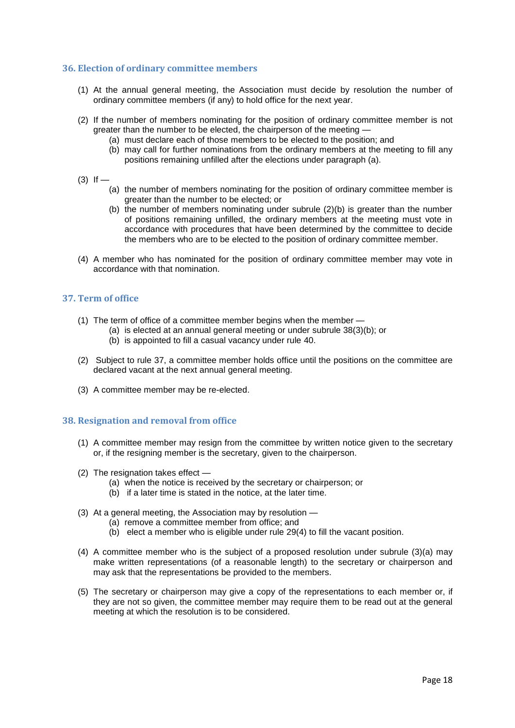## **36. Election of ordinary committee members**

- (1) At the annual general meeting, the Association must decide by resolution the number of ordinary committee members (if any) to hold office for the next year.
- (2) If the number of members nominating for the position of ordinary committee member is not greater than the number to be elected, the chairperson of the meeting —
	- (a) must declare each of those members to be elected to the position; and
	- (b) may call for further nominations from the ordinary members at the meeting to fill any positions remaining unfilled after the elections under paragraph (a).
- $(3)$  If
	- (a) the number of members nominating for the position of ordinary committee member is greater than the number to be elected; or
	- (b) the number of members nominating under subrule  $(2)(b)$  is greater than the number of positions remaining unfilled, the ordinary members at the meeting must vote in accordance with procedures that have been determined by the committee to decide the members who are to be elected to the position of ordinary committee member.
- (4) A member who has nominated for the position of ordinary committee member may vote in accordance with that nomination.

# **37. Term of office**

- (1) The term of office of a committee member begins when the member
	- (a) is elected at an annual general meeting or under subrule 38(3)(b); or
		- (b) is appointed to fill a casual vacancy under rule 40.
- (2) Subject to rule 37, a committee member holds office until the positions on the committee are declared vacant at the next annual general meeting.
- (3) A committee member may be re-elected.

# **38. Resignation and removal from office**

- (1) A committee member may resign from the committee by written notice given to the secretary or, if the resigning member is the secretary, given to the chairperson.
- (2) The resignation takes effect
	- (a) when the notice is received by the secretary or chairperson; or
	- (b) if a later time is stated in the notice, at the later time.
- (3) At a general meeting, the Association may by resolution
	- (a) remove a committee member from office; and
	- (b) elect a member who is eligible under rule 29(4) to fill the vacant position.
- (4) A committee member who is the subject of a proposed resolution under subrule (3)(a) may make written representations (of a reasonable length) to the secretary or chairperson and may ask that the representations be provided to the members.
- (5) The secretary or chairperson may give a copy of the representations to each member or, if they are not so given, the committee member may require them to be read out at the general meeting at which the resolution is to be considered.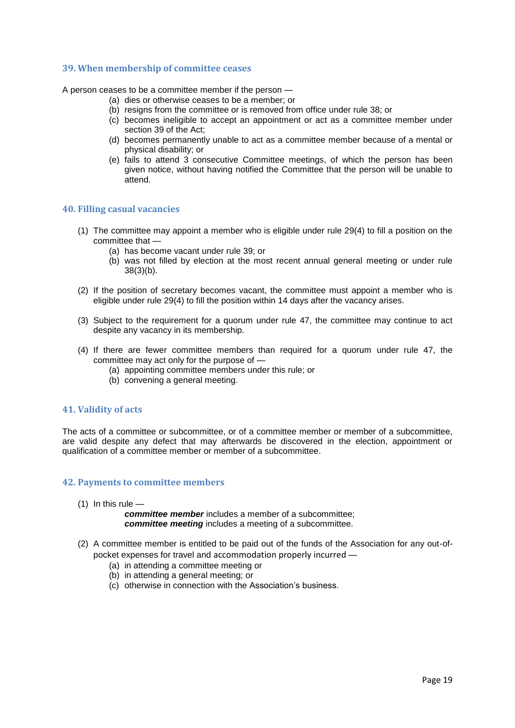### **39. When membership of committee ceases**

A person ceases to be a committee member if the person —

- (a) dies or otherwise ceases to be a member; or
- (b) resigns from the committee or is removed from office under rule 38; or
- (c) becomes ineligible to accept an appointment or act as a committee member under section 39 of the Act;
- (d) becomes permanently unable to act as a committee member because of a mental or physical disability; or
- (e) fails to attend 3 consecutive Committee meetings, of which the person has been given notice, without having notified the Committee that the person will be unable to attend.

## **40. Filling casual vacancies**

- (1) The committee may appoint a member who is eligible under rule 29(4) to fill a position on the committee that —
	- (a) has become vacant under rule 39; or
	- (b) was not filled by election at the most recent annual general meeting or under rule 38(3)(b).
- (2) If the position of secretary becomes vacant, the committee must appoint a member who is eligible under rule 29(4) to fill the position within 14 days after the vacancy arises.
- (3) Subject to the requirement for a quorum under rule 47, the committee may continue to act despite any vacancy in its membership.
- (4) If there are fewer committee members than required for a quorum under rule 47, the committee may act only for the purpose of —
	- (a) appointing committee members under this rule; or
	- (b) convening a general meeting.

#### **41. Validity of acts**

The acts of a committee or subcommittee, or of a committee member or member of a subcommittee, are valid despite any defect that may afterwards be discovered in the election, appointment or qualification of a committee member or member of a subcommittee.

#### **42. Payments to committee members**

 $(1)$  In this rule  $-$ 

*committee member* includes a member of a subcommittee; *committee meeting* includes a meeting of a subcommittee.

- (2) A committee member is entitled to be paid out of the funds of the Association for any out-ofpocket expenses for travel and accommodation properly incurred —
	- (a) in attending a committee meeting or
	- (b) in attending a general meeting; or
	- (c) otherwise in connection with the Association's business.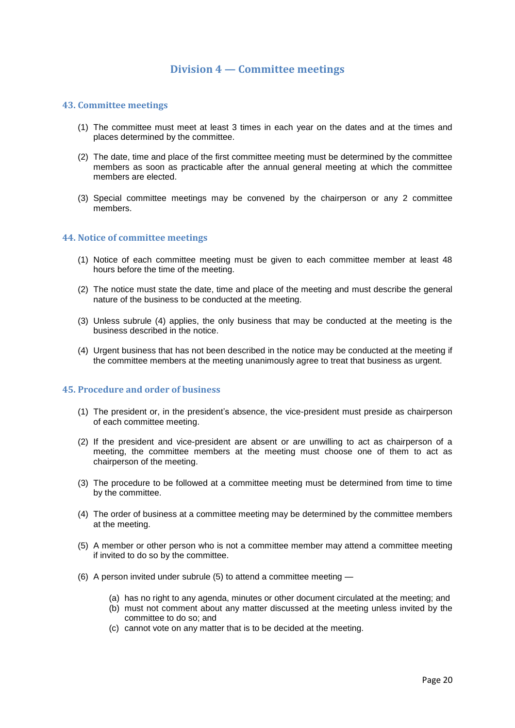# **Division 4 — Committee meetings**

#### **43. Committee meetings**

- (1) The committee must meet at least 3 times in each year on the dates and at the times and places determined by the committee.
- (2) The date, time and place of the first committee meeting must be determined by the committee members as soon as practicable after the annual general meeting at which the committee members are elected.
- (3) Special committee meetings may be convened by the chairperson or any 2 committee members.

#### **44. Notice of committee meetings**

- (1) Notice of each committee meeting must be given to each committee member at least 48 hours before the time of the meeting.
- (2) The notice must state the date, time and place of the meeting and must describe the general nature of the business to be conducted at the meeting.
- (3) Unless subrule (4) applies, the only business that may be conducted at the meeting is the business described in the notice.
- (4) Urgent business that has not been described in the notice may be conducted at the meeting if the committee members at the meeting unanimously agree to treat that business as urgent.

#### **45. Procedure and order of business**

- (1) The president or, in the president's absence, the vice-president must preside as chairperson of each committee meeting.
- (2) If the president and vice-president are absent or are unwilling to act as chairperson of a meeting, the committee members at the meeting must choose one of them to act as chairperson of the meeting.
- (3) The procedure to be followed at a committee meeting must be determined from time to time by the committee.
- (4) The order of business at a committee meeting may be determined by the committee members at the meeting.
- (5) A member or other person who is not a committee member may attend a committee meeting if invited to do so by the committee.
- (6) A person invited under subrule (5) to attend a committee meeting
	- (a) has no right to any agenda, minutes or other document circulated at the meeting; and
	- (b) must not comment about any matter discussed at the meeting unless invited by the committee to do so; and
	- (c) cannot vote on any matter that is to be decided at the meeting.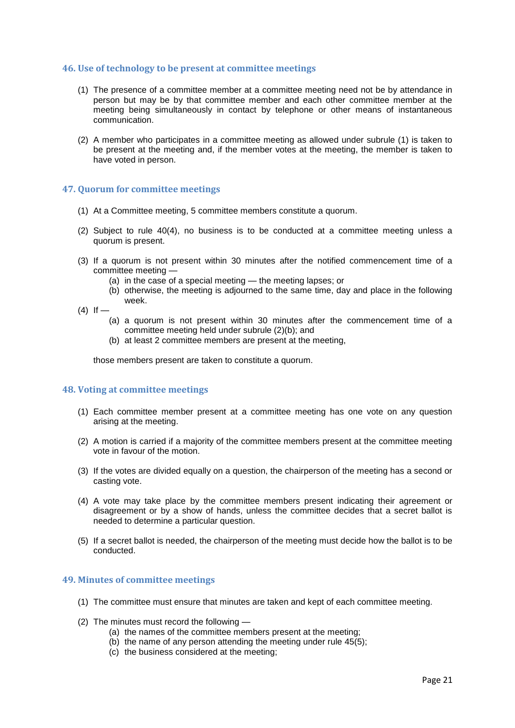#### **46. Use of technology to be present at committee meetings**

- (1) The presence of a committee member at a committee meeting need not be by attendance in person but may be by that committee member and each other committee member at the meeting being simultaneously in contact by telephone or other means of instantaneous communication.
- (2) A member who participates in a committee meeting as allowed under subrule (1) is taken to be present at the meeting and, if the member votes at the meeting, the member is taken to have voted in person.

#### **47. Quorum for committee meetings**

- (1) At a Committee meeting, 5 committee members constitute a quorum.
- (2) Subject to rule 40(4), no business is to be conducted at a committee meeting unless a quorum is present.
- (3) If a quorum is not present within 30 minutes after the notified commencement time of a committee meeting —
	- (a) in the case of a special meeting the meeting lapses; or
	- (b) otherwise, the meeting is adjourned to the same time, day and place in the following week.
- $(4)$  If  $-$ 
	- (a) a quorum is not present within 30 minutes after the commencement time of a committee meeting held under subrule (2)(b); and
	- (b) at least 2 committee members are present at the meeting,

those members present are taken to constitute a quorum.

#### **48. Voting at committee meetings**

- (1) Each committee member present at a committee meeting has one vote on any question arising at the meeting.
- (2) A motion is carried if a majority of the committee members present at the committee meeting vote in favour of the motion.
- (3) If the votes are divided equally on a question, the chairperson of the meeting has a second or casting vote.
- (4) A vote may take place by the committee members present indicating their agreement or disagreement or by a show of hands, unless the committee decides that a secret ballot is needed to determine a particular question.
- (5) If a secret ballot is needed, the chairperson of the meeting must decide how the ballot is to be conducted.

#### **49. Minutes of committee meetings**

- (1) The committee must ensure that minutes are taken and kept of each committee meeting.
- (2) The minutes must record the following
	- (a) the names of the committee members present at the meeting;
	- (b) the name of any person attending the meeting under rule  $45(5)$ ;
	- (c) the business considered at the meeting;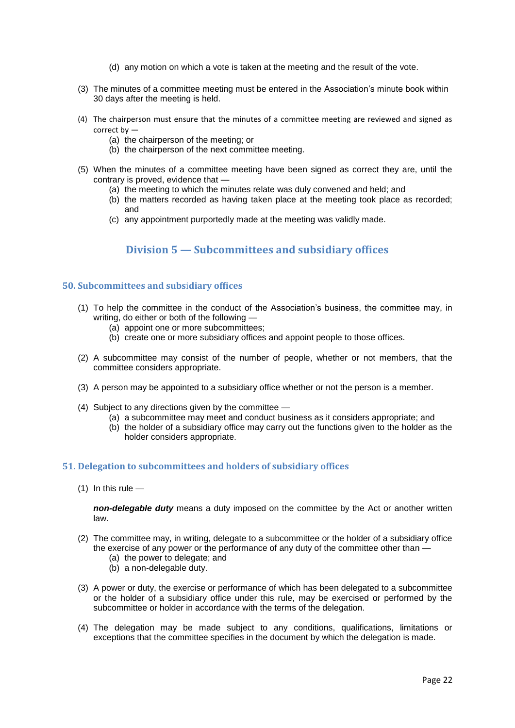- (d) any motion on which a vote is taken at the meeting and the result of the vote.
- (3) The minutes of a committee meeting must be entered in the Association's minute book within 30 days after the meeting is held.
- (4) The chairperson must ensure that the minutes of a committee meeting are reviewed and signed as correct by —
	- (a) the chairperson of the meeting; or
	- (b) the chairperson of the next committee meeting.
- (5) When the minutes of a committee meeting have been signed as correct they are, until the contrary is proved, evidence that —
	- (a) the meeting to which the minutes relate was duly convened and held; and
	- (b) the matters recorded as having taken place at the meeting took place as recorded; and
	- (c) any appointment purportedly made at the meeting was validly made.

# **Division 5 — Subcommittees and subsidiary offices**

#### **50. Subcommittees and subs**i**diary offices**

- (1) To help the committee in the conduct of the Association's business, the committee may, in writing, do either or both of the following —
	- (a) appoint one or more subcommittees;
	- (b) create one or more subsidiary offices and appoint people to those offices.
- (2) A subcommittee may consist of the number of people, whether or not members, that the committee considers appropriate.
- (3) A person may be appointed to a subsidiary office whether or not the person is a member.
- (4) Subject to any directions given by the committee
	- (a) a subcommittee may meet and conduct business as it considers appropriate; and
	- (b) the holder of a subsidiary office may carry out the functions given to the holder as the holder considers appropriate.

#### **51. Delegation to subcommittees and holders of subsidiary offices**

 $(1)$  In this rule —

*non-delegable duty* means a duty imposed on the committee by the Act or another written law.

- (2) The committee may, in writing, delegate to a subcommittee or the holder of a subsidiary office the exercise of any power or the performance of any duty of the committee other than —
	- (a) the power to delegate; and
	- (b) a non-delegable duty.
- (3) A power or duty, the exercise or performance of which has been delegated to a subcommittee or the holder of a subsidiary office under this rule, may be exercised or performed by the subcommittee or holder in accordance with the terms of the delegation.
- (4) The delegation may be made subject to any conditions, qualifications, limitations or exceptions that the committee specifies in the document by which the delegation is made.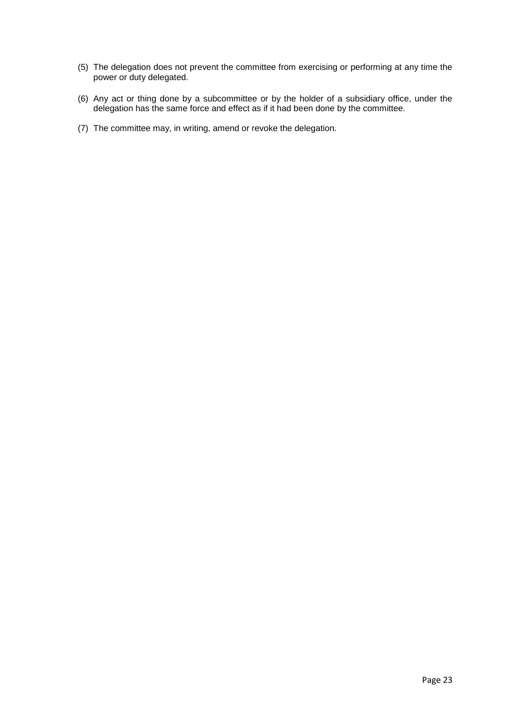- (5) The delegation does not prevent the committee from exercising or performing at any time the power or duty delegated.
- (6) Any act or thing done by a subcommittee or by the holder of a subsidiary office, under the delegation has the same force and effect as if it had been done by the committee.
- (7) The committee may, in writing, amend or revoke the delegation.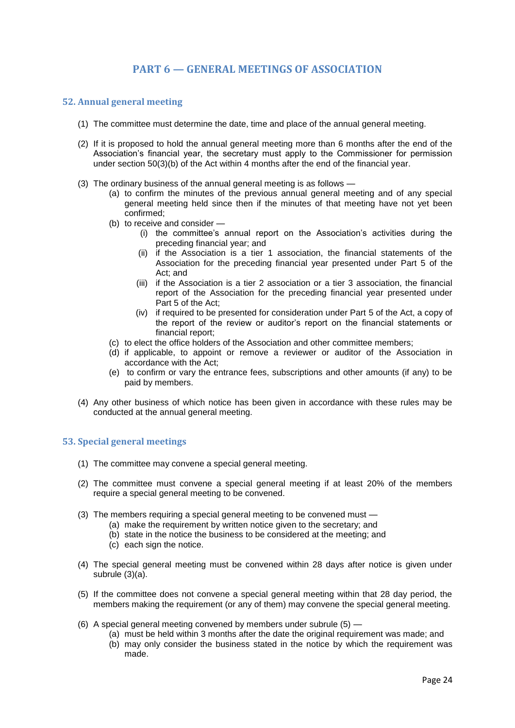# **PART 6 — GENERAL MEETINGS OF ASSOCIATION**

## **52. Annual general meeting**

- (1) The committee must determine the date, time and place of the annual general meeting.
- (2) If it is proposed to hold the annual general meeting more than 6 months after the end of the Association's financial year, the secretary must apply to the Commissioner for permission under section 50(3)(b) of the Act within 4 months after the end of the financial year.
- (3) The ordinary business of the annual general meeting is as follows
	- (a) to confirm the minutes of the previous annual general meeting and of any special general meeting held since then if the minutes of that meeting have not yet been confirmed;
	- (b) to receive and consider
		- (i) the committee's annual report on the Association's activities during the preceding financial year; and
		- (ii) if the Association is a tier 1 association, the financial statements of the Association for the preceding financial year presented under Part 5 of the Act; and
		- (iii) if the Association is a tier 2 association or a tier 3 association, the financial report of the Association for the preceding financial year presented under Part 5 of the Act;
		- (iv) if required to be presented for consideration under Part 5 of the Act, a copy of the report of the review or auditor's report on the financial statements or financial report;
	- (c) to elect the office holders of the Association and other committee members;
	- (d) if applicable, to appoint or remove a reviewer or auditor of the Association in accordance with the Act;
	- (e) to confirm or vary the entrance fees, subscriptions and other amounts (if any) to be paid by members.
- (4) Any other business of which notice has been given in accordance with these rules may be conducted at the annual general meeting.

#### **53. Special general meetings**

- (1) The committee may convene a special general meeting.
- (2) The committee must convene a special general meeting if at least 20% of the members require a special general meeting to be convened.
- (3) The members requiring a special general meeting to be convened must
	- (a) make the requirement by written notice given to the secretary; and
		- (b) state in the notice the business to be considered at the meeting; and
		- (c) each sign the notice.
- (4) The special general meeting must be convened within 28 days after notice is given under subrule (3)(a).
- (5) If the committee does not convene a special general meeting within that 28 day period, the members making the requirement (or any of them) may convene the special general meeting.
- (6) A special general meeting convened by members under subrule (5)
	- (a) must be held within 3 months after the date the original requirement was made; and
	- (b) may only consider the business stated in the notice by which the requirement was made.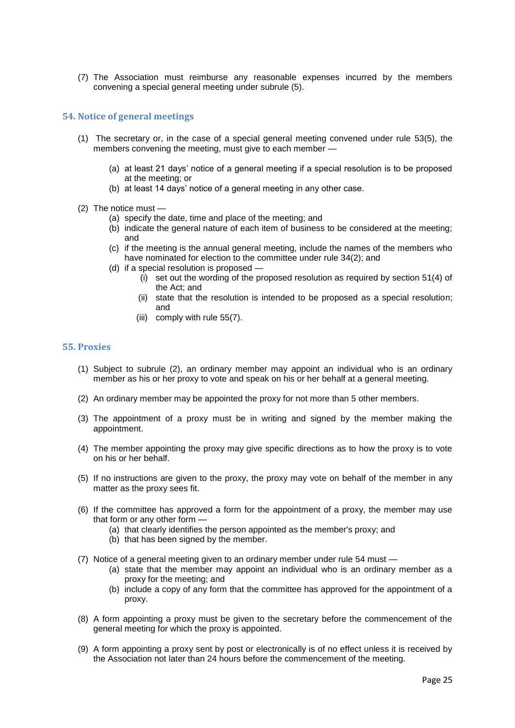(7) The Association must reimburse any reasonable expenses incurred by the members convening a special general meeting under subrule (5).

## **54. Notice of general meetings**

- (1) The secretary or, in the case of a special general meeting convened under rule 53(5), the members convening the meeting, must give to each member —
	- (a) at least 21 days' notice of a general meeting if a special resolution is to be proposed at the meeting; or
	- (b) at least 14 days' notice of a general meeting in any other case.
- (2) The notice must
	- (a) specify the date, time and place of the meeting; and
	- (b) indicate the general nature of each item of business to be considered at the meeting; and
	- (c) if the meeting is the annual general meeting, include the names of the members who have nominated for election to the committee under rule 34(2); and
	- (d) if a special resolution is proposed
		- (i) set out the wording of the proposed resolution as required by section 51(4) of the Act; and
		- (ii) state that the resolution is intended to be proposed as a special resolution; and
		- (iii) comply with rule 55(7).

## **55. Proxies**

- (1) Subject to subrule (2), an ordinary member may appoint an individual who is an ordinary member as his or her proxy to vote and speak on his or her behalf at a general meeting.
- (2) An ordinary member may be appointed the proxy for not more than 5 other members.
- (3) The appointment of a proxy must be in writing and signed by the member making the appointment.
- (4) The member appointing the proxy may give specific directions as to how the proxy is to vote on his or her behalf.
- (5) If no instructions are given to the proxy, the proxy may vote on behalf of the member in any matter as the proxy sees fit.
- (6) If the committee has approved a form for the appointment of a proxy, the member may use that form or any other form —
	- (a) that clearly identifies the person appointed as the member's proxy; and
	- (b) that has been signed by the member.
- (7) Notice of a general meeting given to an ordinary member under rule 54 must
	- (a) state that the member may appoint an individual who is an ordinary member as a proxy for the meeting; and
	- (b) include a copy of any form that the committee has approved for the appointment of a proxy.
- (8) A form appointing a proxy must be given to the secretary before the commencement of the general meeting for which the proxy is appointed.
- (9) A form appointing a proxy sent by post or electronically is of no effect unless it is received by the Association not later than 24 hours before the commencement of the meeting.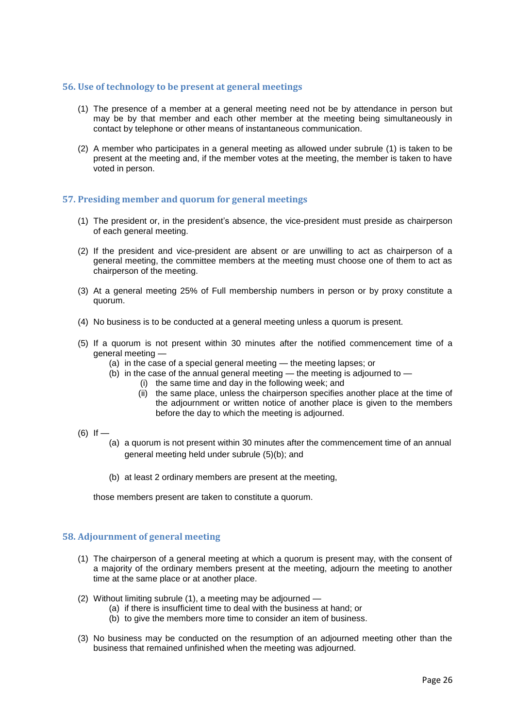## **56. Use of technology to be present at general meetings**

- (1) The presence of a member at a general meeting need not be by attendance in person but may be by that member and each other member at the meeting being simultaneously in contact by telephone or other means of instantaneous communication.
- (2) A member who participates in a general meeting as allowed under subrule (1) is taken to be present at the meeting and, if the member votes at the meeting, the member is taken to have voted in person.

# **57. Presiding member and quorum for general meetings**

- (1) The president or, in the president's absence, the vice-president must preside as chairperson of each general meeting.
- (2) If the president and vice-president are absent or are unwilling to act as chairperson of a general meeting, the committee members at the meeting must choose one of them to act as chairperson of the meeting.
- (3) At a general meeting 25% of Full membership numbers in person or by proxy constitute a quorum.
- (4) No business is to be conducted at a general meeting unless a quorum is present.
- (5) If a quorum is not present within 30 minutes after the notified commencement time of a general meeting —
	- (a) in the case of a special general meeting the meeting lapses; or
	- $(b)$  in the case of the annual general meeting the meeting is adjourned to
		- (i) the same time and day in the following week; and
			- (ii) the same place, unless the chairperson specifies another place at the time of the adjournment or written notice of another place is given to the members before the day to which the meeting is adjourned.
- $(6)$  If
	- (a) a quorum is not present within 30 minutes after the commencement time of an annual general meeting held under subrule (5)(b); and
	- (b) at least 2 ordinary members are present at the meeting,

those members present are taken to constitute a quorum.

#### **58. Adjournment of general meeting**

- (1) The chairperson of a general meeting at which a quorum is present may, with the consent of a majority of the ordinary members present at the meeting, adjourn the meeting to another time at the same place or at another place.
- (2) Without limiting subrule (1), a meeting may be adjourned
	- (a) if there is insufficient time to deal with the business at hand; or
	- (b) to give the members more time to consider an item of business.
- (3) No business may be conducted on the resumption of an adjourned meeting other than the business that remained unfinished when the meeting was adjourned.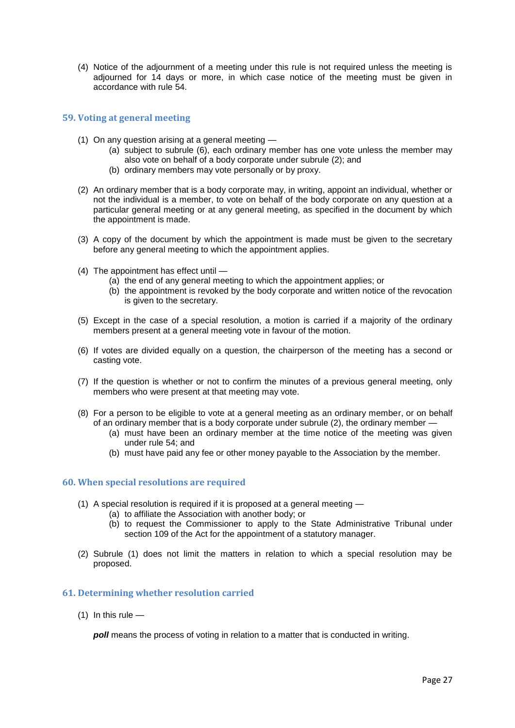(4) Notice of the adjournment of a meeting under this rule is not required unless the meeting is adjourned for 14 days or more, in which case notice of the meeting must be given in accordance with rule 54.

#### **59. Voting at general meeting**

- (1) On any question arising at a general meeting
	- (a) subject to subrule (6), each ordinary member has one vote unless the member may also vote on behalf of a body corporate under subrule (2); and
	- (b) ordinary members may vote personally or by proxy.
- (2) An ordinary member that is a body corporate may, in writing, appoint an individual, whether or not the individual is a member, to vote on behalf of the body corporate on any question at a particular general meeting or at any general meeting, as specified in the document by which the appointment is made.
- (3) A copy of the document by which the appointment is made must be given to the secretary before any general meeting to which the appointment applies.
- (4) The appointment has effect until
	- (a) the end of any general meeting to which the appointment applies; or
	- (b) the appointment is revoked by the body corporate and written notice of the revocation is given to the secretary.
- (5) Except in the case of a special resolution, a motion is carried if a majority of the ordinary members present at a general meeting vote in favour of the motion.
- (6) If votes are divided equally on a question, the chairperson of the meeting has a second or casting vote.
- (7) If the question is whether or not to confirm the minutes of a previous general meeting, only members who were present at that meeting may vote.
- (8) For a person to be eligible to vote at a general meeting as an ordinary member, or on behalf of an ordinary member that is a body corporate under subrule (2), the ordinary member -
	- (a) must have been an ordinary member at the time notice of the meeting was given under rule 54; and
	- (b) must have paid any fee or other money payable to the Association by the member.

#### **60. When special resolutions are required**

- (1) A special resolution is required if it is proposed at a general meeting
	- (a) to affiliate the Association with another body; or
	- (b) to request the Commissioner to apply to the State Administrative Tribunal under section 109 of the Act for the appointment of a statutory manager.
- (2) Subrule (1) does not limit the matters in relation to which a special resolution may be proposed.

#### **61. Determining whether resolution carried**

 $(1)$  In this rule  $-$ 

*poll* means the process of voting in relation to a matter that is conducted in writing.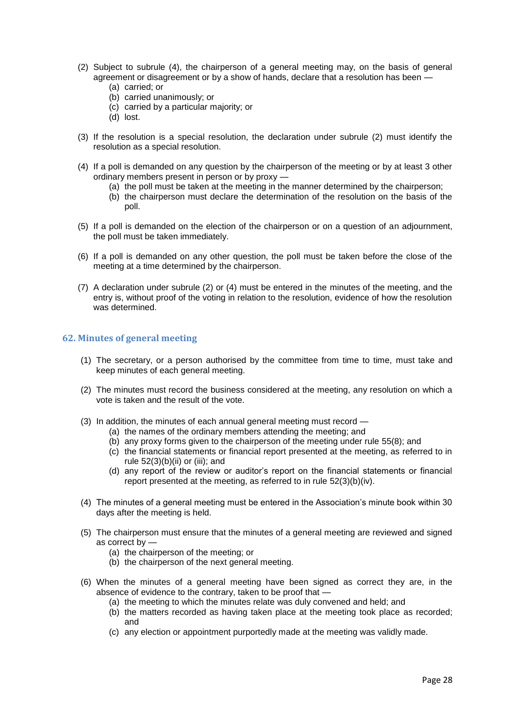- (2) Subject to subrule (4), the chairperson of a general meeting may, on the basis of general agreement or disagreement or by a show of hands, declare that a resolution has been —
	- (a) carried; or
	- (b) carried unanimously; or
	- (c) carried by a particular majority; or
	- (d) lost.
- (3) If the resolution is a special resolution, the declaration under subrule (2) must identify the resolution as a special resolution.
- (4) If a poll is demanded on any question by the chairperson of the meeting or by at least 3 other ordinary members present in person or by proxy —
	- (a) the poll must be taken at the meeting in the manner determined by the chairperson;
	- (b) the chairperson must declare the determination of the resolution on the basis of the poll.
- (5) If a poll is demanded on the election of the chairperson or on a question of an adjournment, the poll must be taken immediately.
- (6) If a poll is demanded on any other question, the poll must be taken before the close of the meeting at a time determined by the chairperson.
- (7) A declaration under subrule (2) or (4) must be entered in the minutes of the meeting, and the entry is, without proof of the voting in relation to the resolution, evidence of how the resolution was determined.

## **62. Minutes of general meeting**

- (1) The secretary, or a person authorised by the committee from time to time, must take and keep minutes of each general meeting.
- (2) The minutes must record the business considered at the meeting, any resolution on which a vote is taken and the result of the vote.
- (3) In addition, the minutes of each annual general meeting must record
	- (a) the names of the ordinary members attending the meeting; and
	- (b) any proxy forms given to the chairperson of the meeting under rule 55(8); and
	- (c) the financial statements or financial report presented at the meeting, as referred to in rule  $52(3)(b)(ii)$  or (iii); and
	- (d) any report of the review or auditor's report on the financial statements or financial report presented at the meeting, as referred to in rule 52(3)(b)(iv).
- (4) The minutes of a general meeting must be entered in the Association's minute book within 30 days after the meeting is held.
- (5) The chairperson must ensure that the minutes of a general meeting are reviewed and signed as correct by —
	- (a) the chairperson of the meeting; or
	- (b) the chairperson of the next general meeting.
- (6) When the minutes of a general meeting have been signed as correct they are, in the absence of evidence to the contrary, taken to be proof that —
	- (a) the meeting to which the minutes relate was duly convened and held; and
	- (b) the matters recorded as having taken place at the meeting took place as recorded; and
	- (c) any election or appointment purportedly made at the meeting was validly made.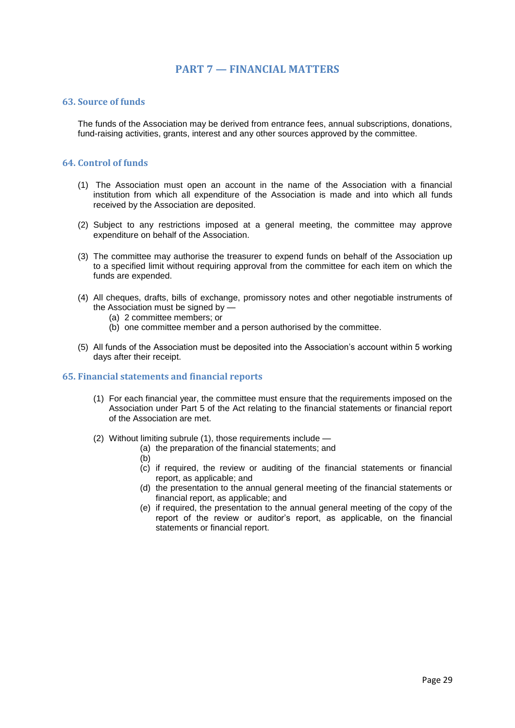# **PART 7 — FINANCIAL MATTERS**

## **63. Source of funds**

The funds of the Association may be derived from entrance fees, annual subscriptions, donations, fund-raising activities, grants, interest and any other sources approved by the committee.

## **64. Control of funds**

- (1) The Association must open an account in the name of the Association with a financial institution from which all expenditure of the Association is made and into which all funds received by the Association are deposited.
- (2) Subject to any restrictions imposed at a general meeting, the committee may approve expenditure on behalf of the Association.
- (3) The committee may authorise the treasurer to expend funds on behalf of the Association up to a specified limit without requiring approval from the committee for each item on which the funds are expended.
- (4) All cheques, drafts, bills of exchange, promissory notes and other negotiable instruments of the Association must be signed by —
	- (a) 2 committee members; or
	- (b) one committee member and a person authorised by the committee.
- (5) All funds of the Association must be deposited into the Association's account within 5 working days after their receipt.

# **65. Financial statements and financial reports**

- (1) For each financial year, the committee must ensure that the requirements imposed on the Association under Part 5 of the Act relating to the financial statements or financial report of the Association are met.
- (2) Without limiting subrule (1), those requirements include
	- (a) the preparation of the financial statements; and
		- (b)
		- (c) if required, the review or auditing of the financial statements or financial report, as applicable; and
		- (d) the presentation to the annual general meeting of the financial statements or financial report, as applicable; and
		- (e) if required, the presentation to the annual general meeting of the copy of the report of the review or auditor's report, as applicable, on the financial statements or financial report.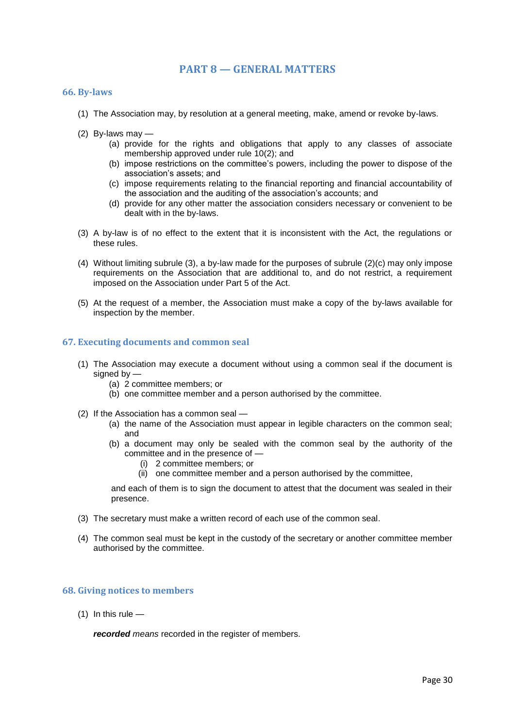# **PART 8 — GENERAL MATTERS**

#### **66. By-laws**

- (1) The Association may, by resolution at a general meeting, make, amend or revoke by-laws.
- (2) By-laws may
	- (a) provide for the rights and obligations that apply to any classes of associate membership approved under rule 10(2); and
	- (b) impose restrictions on the committee's powers, including the power to dispose of the association's assets; and
	- (c) impose requirements relating to the financial reporting and financial accountability of the association and the auditing of the association's accounts; and
	- (d) provide for any other matter the association considers necessary or convenient to be dealt with in the by-laws.
- (3) A by-law is of no effect to the extent that it is inconsistent with the Act, the regulations or these rules.
- (4) Without limiting subrule (3), a by-law made for the purposes of subrule (2)(c) may only impose requirements on the Association that are additional to, and do not restrict, a requirement imposed on the Association under Part 5 of the Act.
- (5) At the request of a member, the Association must make a copy of the by-laws available for inspection by the member.

#### **67. Executing documents and common seal**

- (1) The Association may execute a document without using a common seal if the document is signed by —
	- (a) 2 committee members; or
	- (b) one committee member and a person authorised by the committee.
- (2) If the Association has a common seal
	- (a) the name of the Association must appear in legible characters on the common seal; and
	- (b) a document may only be sealed with the common seal by the authority of the committee and in the presence of —
		- (i) 2 committee members; or
		- (ii) one committee member and a person authorised by the committee,

and each of them is to sign the document to attest that the document was sealed in their presence.

- (3) The secretary must make a written record of each use of the common seal.
- (4) The common seal must be kept in the custody of the secretary or another committee member authorised by the committee.

## **68. Giving notices to members**

 $(1)$  In this rule —

*recorded means* recorded in the register of members.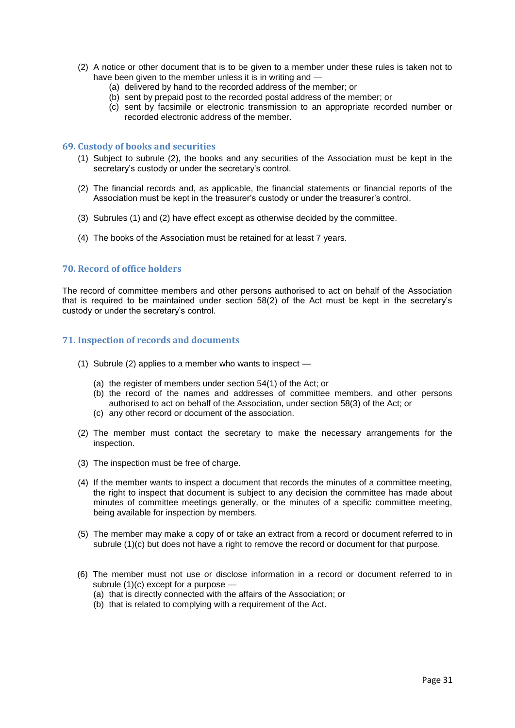- (2) A notice or other document that is to be given to a member under these rules is taken not to have been given to the member unless it is in writing and —
	- (a) delivered by hand to the recorded address of the member; or
	- (b) sent by prepaid post to the recorded postal address of the member; or
	- (c) sent by facsimile or electronic transmission to an appropriate recorded number or recorded electronic address of the member.

## **69. Custody of books and securities**

- (1) Subject to subrule (2), the books and any securities of the Association must be kept in the secretary's custody or under the secretary's control.
- (2) The financial records and, as applicable, the financial statements or financial reports of the Association must be kept in the treasurer's custody or under the treasurer's control.
- (3) Subrules (1) and (2) have effect except as otherwise decided by the committee.
- (4) The books of the Association must be retained for at least 7 years.

#### **70. Record of office holders**

The record of committee members and other persons authorised to act on behalf of the Association that is required to be maintained under section 58(2) of the Act must be kept in the secretary's custody or under the secretary's control.

#### **71. Inspection of records and documents**

- (1) Subrule (2) applies to a member who wants to inspect
	- (a) the register of members under section 54(1) of the Act; or
	- (b) the record of the names and addresses of committee members, and other persons authorised to act on behalf of the Association, under section 58(3) of the Act; or
	- (c) any other record or document of the association.
- (2) The member must contact the secretary to make the necessary arrangements for the inspection.
- (3) The inspection must be free of charge.
- (4) If the member wants to inspect a document that records the minutes of a committee meeting, the right to inspect that document is subject to any decision the committee has made about minutes of committee meetings generally, or the minutes of a specific committee meeting, being available for inspection by members.
- (5) The member may make a copy of or take an extract from a record or document referred to in subrule (1)(c) but does not have a right to remove the record or document for that purpose.
- (6) The member must not use or disclose information in a record or document referred to in subrule (1)(c) except for a purpose —
	- (a) that is directly connected with the affairs of the Association; or
	- (b) that is related to complying with a requirement of the Act.